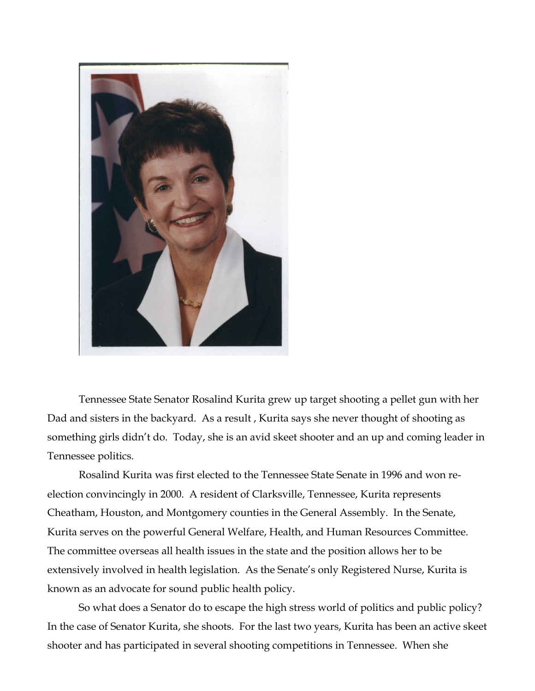

Tennessee State Senator Rosalind Kurita grew up target shooting a pellet gun with her Dad and sisters in the backyard. As a result , Kurita says she never thought of shooting as something girls didn't do. Today, she is an avid skeet shooter and an up and coming leader in Tennessee politics.

Rosalind Kurita was first elected to the Tennessee State Senate in 1996 and won reelection convincingly in 2000. A resident of Clarksville, Tennessee, Kurita represents Cheatham, Houston, and Montgomery counties in the General Assembly. In the Senate, Kurita serves on the powerful General Welfare, Health, and Human Resources Committee. The committee overseas all health issues in the state and the position allows her to be extensively involved in health legislation. As the Senate's only Registered Nurse, Kurita is known as an advocate for sound public health policy.

So what does a Senator do to escape the high stress world of politics and public policy? In the case of Senator Kurita, she shoots. For the last two years, Kurita has been an active skeet shooter and has participated in several shooting competitions in Tennessee. When she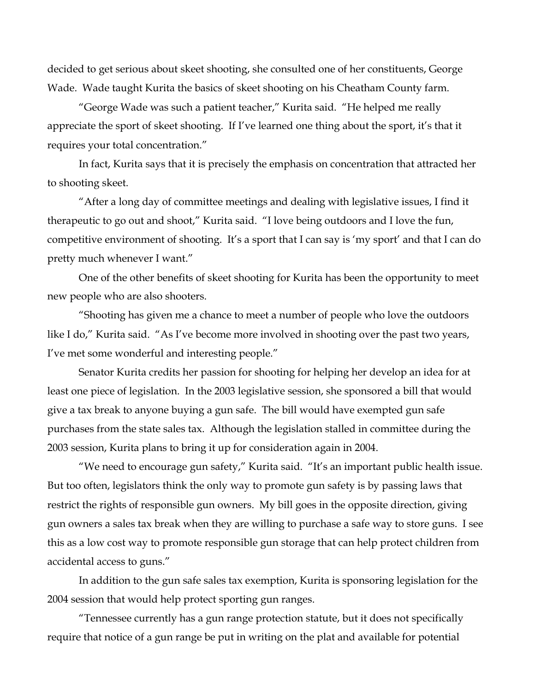decided to get serious about skeet shooting, she consulted one of her constituents, George Wade. Wade taught Kurita the basics of skeet shooting on his Cheatham County farm.

"George Wade was such a patient teacher," Kurita said. "He helped me really appreciate the sport of skeet shooting. If I've learned one thing about the sport, it's that it requires your total concentration."

In fact, Kurita says that it is precisely the emphasis on concentration that attracted her to shooting skeet.

"After a long day of committee meetings and dealing with legislative issues, I find it therapeutic to go out and shoot," Kurita said. "I love being outdoors and I love the fun, competitive environment of shooting. It's a sport that I can say is 'my sport' and that I can do pretty much whenever I want."

One of the other benefits of skeet shooting for Kurita has been the opportunity to meet new people who are also shooters.

"Shooting has given me a chance to meet a number of people who love the outdoors like I do," Kurita said. "As I've become more involved in shooting over the past two years, I've met some wonderful and interesting people."

Senator Kurita credits her passion for shooting for helping her develop an idea for at least one piece of legislation. In the 2003 legislative session, she sponsored a bill that would give a tax break to anyone buying a gun safe. The bill would have exempted gun safe purchases from the state sales tax. Although the legislation stalled in committee during the 2003 session, Kurita plans to bring it up for consideration again in 2004.

"We need to encourage gun safety," Kurita said. "It's an important public health issue. But too often, legislators think the only way to promote gun safety is by passing laws that restrict the rights of responsible gun owners. My bill goes in the opposite direction, giving gun owners a sales tax break when they are willing to purchase a safe way to store guns. I see this as a low cost way to promote responsible gun storage that can help protect children from accidental access to guns."

In addition to the gun safe sales tax exemption, Kurita is sponsoring legislation for the 2004 session that would help protect sporting gun ranges.

"Tennessee currently has a gun range protection statute, but it does not specifically require that notice of a gun range be put in writing on the plat and available for potential